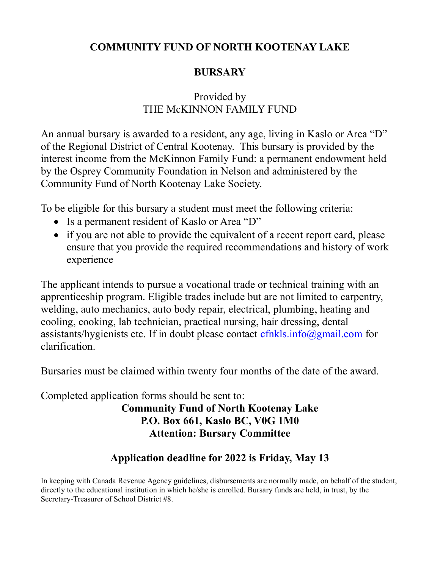### COMMUNITY FUND OF NORTH KOOTENAY LAKE

# **BURSARY**

### Provided by THE McKINNON FAMILY FUND

An annual bursary is awarded to a resident, any age, living in Kaslo or Area "D" of the Regional District of Central Kootenay. This bursary is provided by the interest income from the McKinnon Family Fund: a permanent endowment held by the Osprey Community Foundation in Nelson and administered by the Community Fund of North Kootenay Lake Society.

To be eligible for this bursary a student must meet the following criteria:

- Is a permanent resident of Kaslo or Area "D"
- if you are not able to provide the equivalent of a recent report card, please ensure that you provide the required recommendations and history of work experience

The applicant intends to pursue a vocational trade or technical training with an apprenticeship program. Eligible trades include but are not limited to carpentry, welding, auto mechanics, auto body repair, electrical, plumbing, heating and cooling, cooking, lab technician, practical nursing, hair dressing, dental assistants/hygienists etc. If in doubt please contact  $cfnkls.info@gmail.com$  for clarification.

Bursaries must be claimed within twenty four months of the date of the award.

Completed application forms should be sent to:

#### Community Fund of North Kootenay Lake P.O. Box 661, Kaslo BC, V0G 1M0 Attention: Bursary Committee

# Application deadline for 2022 is Friday, May 13

In keeping with Canada Revenue Agency guidelines, disbursements are normally made, on behalf of the student, directly to the educational institution in which he/she is enrolled. Bursary funds are held, in trust, by the Secretary-Treasurer of School District #8.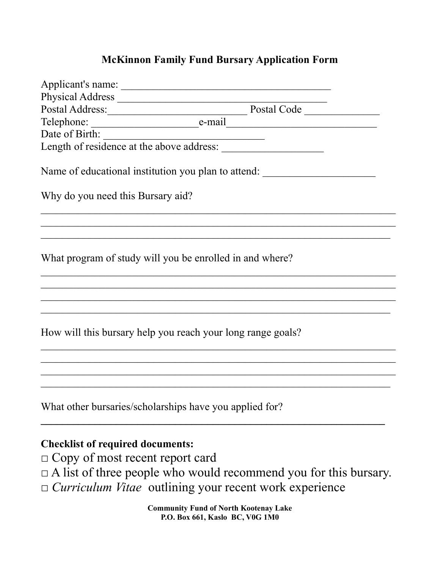#### McKinnon Family Fund Bursary Application Form

| Date of Birth:                                          |                                                                                  |  |
|---------------------------------------------------------|----------------------------------------------------------------------------------|--|
|                                                         |                                                                                  |  |
|                                                         | Name of educational institution you plan to attend: ____________________________ |  |
| Why do you need this Bursary aid?                       |                                                                                  |  |
|                                                         |                                                                                  |  |
|                                                         | What program of study will you be enrolled in and where?                         |  |
|                                                         |                                                                                  |  |
|                                                         | How will this bursary help you reach your long range goals?                      |  |
|                                                         |                                                                                  |  |
| What other bursaries/scholarships have you applied for? |                                                                                  |  |
|                                                         |                                                                                  |  |

## Checklist of required documents:

□ Copy of most recent report card

 $\Box$  A list of three people who would recommend you for this bursary.

□ Curriculum Vitae outlining your recent work experience

Community Fund of North Kootenay Lake P.O. Box 661, Kaslo BC, V0G 1M0